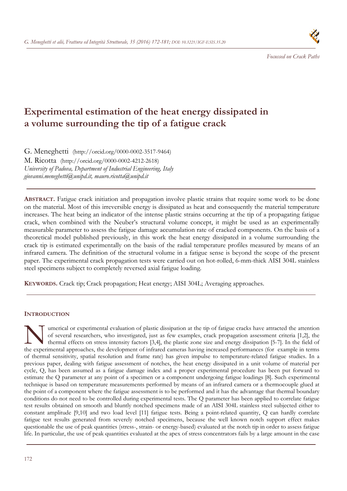

# **Experimental estimation of the heat energy dissipated in a volume surrounding the tip of a fatigue crack**

G. Meneghetti (http://orcid.org/0000-0002-3517-9464) M. Ricotta (http://orcid.org/0000-0002-4212-2618) *University of Padova, Department of Industrial Engineering, Italy giovanni.meneghetti@unipd.it, mauro.ricotta@unipd.it* 

**ABSTRACT.** Fatigue crack initiation and propagation involve plastic strains that require some work to be done on the material. Most of this irreversible energy is dissipated as heat and consequently the material temperature increases. The heat being an indicator of the intense plastic strains occurring at the tip of a propagating fatigue crack, when combined with the Neuber's structural volume concept, it might be used as an experimentally measurable parameter to assess the fatigue damage accumulation rate of cracked components. On the basis of a theoretical model published previously, in this work the heat energy dissipated in a volume surrounding the crack tip is estimated experimentally on the basis of the radial temperature profiles measured by means of an infrared camera. The definition of the structural volume in a fatigue sense is beyond the scope of the present paper. The experimental crack propagation tests were carried out on hot-rolled, 6-mm-thick AISI 304L stainless steel specimens subject to completely reversed axial fatigue loading.

**KEYWORDS.** Crack tip; Crack propagation; Heat energy; AISI 304L; Averaging approaches.

# **INTRODUCTION**

umerical or experimental evaluation of plastic dissipation at the tip of fatigue cracks have attracted the attention of several researchers, who investigated, just as few examples, crack propagation assessment criteria [1,2], the thermal effects on stress intensity factors [3,4], the plastic zone size and energy dissipation [5-7]. In the field of Imerical or experimental evaluation of plastic dissipation at the tip of fatigue cracks have attracted the attention of several researchers, who investigated, just as few examples, crack propagation assessment criteria [1, of thermal sensitivity, spatial resolution and frame rate) has given impulse to temperature-related fatigue studies. In a previous paper, dealing with fatigue assessment of notches, the heat energy dissipated in a unit volume of material per cycle, Q, has been assumed as a fatigue damage index and a proper experimental procedure has been put forward to estimate the Q parameter at any point of a specimen or a component undergoing fatigue loadings [8]. Such experimental technique is based on temperature measurements performed by means of an infrared camera or a thermocouple glued at the point of a component where the fatigue assessment is to be performed and it has the advantage that thermal boundary conditions do not need to be controlled during experimental tests. The Q parameter has been applied to correlate fatigue test results obtained on smooth and bluntly notched specimens made of an AISI 304L stainless steel subjected either to constant amplitude [9,10] and two load level [11] fatigue tests. Being a point-related quantity, Q can hardly correlate fatigue test results generated from severely notched specimens, because the well known notch support effect makes questionable the use of peak quantities (stress-, strain- or energy-based) evaluated at the notch tip in order to assess fatigue life. In particular, the use of peak quantities evaluated at the apex of stress concentrators fails by a large amount in the case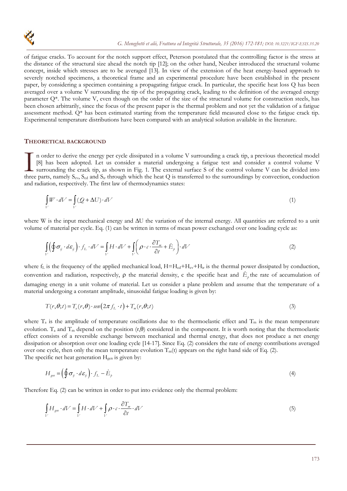

of fatigue cracks. To account for the notch support effect, Peterson postulated that the controlling factor is the stress at the distance of the structural size ahead the notch tip [12]; on the other hand, Neuber introduced the structural volume concept, inside which stresses are to be averaged [13]. In view of the extension of the heat energy-based approach to severely notched specimens, a theoretical frame and an experimental procedure have been established in the present paper, by considering a specimen containing a propagating fatigue crack. In particular, the specific heat loss Q has been averaged over a volume V surrounding the tip of the propagating crack, leading to the definition of the averaged energy parameter Q\*. The volume V, even though on the order of the size of the structural volume for construction steels, has been chosen arbitrarily, since the focus of the present paper is the thermal problem and not yet the validation of a fatigue assessment method. Q\* has been estimated starting from the temperature field measured close to the fatigue crack tip. Experimental temperature distributions have been compared with an analytical solution available in the literature.

#### **THEORETICAL BACKGROUND**

n order to derive the energy per cycle dissipated in a volume V surrounding a crack tip, a previous theoretical model [8] has been adopted. Let us consider a material undergoing a fatigue test and consider a control volume V surrounding the crack tip, as shown in Fig. 1. The external surface S of the control volume V can be divided into In order to derive the energy per cycle dissipated in a volume V surrounding a crack tip, a previous theoretical model [8] has been adopted. Let us consider a material undergoing a fatigue test and consider a control volu and radiation, respectively. The first law of thermodynamics states:

$$
\int_{V} W \cdot dV = \int_{V} (Q + \Delta U) \cdot dV \tag{1}
$$

where W is the input mechanical energy and  $\Delta U$  the variation of the internal energy. All quantities are referred to a unit volume of material per cycle. Eq. (1) can be written in terms of mean power exchanged over one loading cycle as:

$$
\int_{V} \left( \oint \sigma_{ij} \cdot d\varepsilon_{ij} \right) \cdot f_{L} \cdot dV = \int_{V} H \cdot dV + \int_{V} \left( \rho \cdot c \cdot \frac{\partial T_{m}}{\partial t} + \dot{E}_{\rho} \right) \cdot dV \tag{2}
$$

where  $f_L$  is the frequency of the applied mechanical load,  $H=H_{cd}+H_{cv}+H_{ir}$  is the thermal power dissipated by conduction, convention and radiation, respectively,  $\rho$  the material density, c the specific heat and  $E_p$  the rate of accumulation of damaging energy in a unit volume of material. Let us consider a plane problem and assume that the temperature of a material undergoing a constant amplitude, sinusoidal fatigue loading is given by:

$$
T(r, \theta; t) = T_a(r, \theta) \cdot \text{sen}\left(2\pi f_L \cdot t\right) + T_m(r, \theta; t) \tag{3}
$$

where  $T_a$  is the amplitude of temperature oscillations due to the thermoelastic effect and  $T_m$  is the mean temperature evolution.  $T_a$  and  $T_m$  depend on the position  $(r,\theta)$  considered in the component. It is worth noting that the thermoelastic effect consists of a reversible exchange between mechanical and thermal energy, that does not produce a net energy dissipation or absorption over one loading cycle [14-17]. Since Eq. (2) considers the rate of energy contributions averaged over one cycle, then only the mean temperature evolution  $T_m(t)$  appears on the right hand side of Eq. (2). The specific net heat generation H<sub>gen</sub> is given by:

$$
H_{gen} = \left(\oint \sigma_{ij} \cdot d\varepsilon_{ij}\right) \cdot f_L - \dot{E}_p \tag{4}
$$

Therefore Eq. (2) can be written in order to put into evidence only the thermal problem:

$$
\int_{V} H_{gen} \cdot dV = \int_{V} H \cdot dV + \int_{V} \rho \cdot c \cdot \frac{\partial T_m}{\partial t} \cdot dV \tag{5}
$$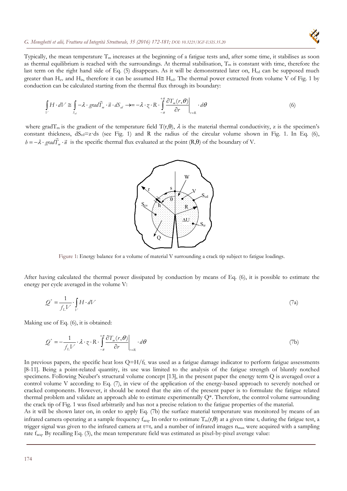

Typically, the mean temperature  $T_m$  increases at the beginning of a fatigue tests and, after some time, it stabilises as soon as thermal equilibrium is reached with the surroundings. At thermal stabilisation,  $T_m$  is constant with time, therefore the last term on the right hand side of Eq. (5) disappears. As it will be demonstrated later on, H<sub>cd</sub> can be supposed much greater than H<sub>cv</sub> and H<sub>ir</sub>, therefore it can be assumed H $\cong$  H<sub>cd</sub>. The thermal power extracted from volume V of Fig. 1 by conduction can be calculated starting from the thermal flux through its boundary:

$$
\int_{V} H \cdot dV \cong \int_{S_{al}} -\lambda \cdot grad \vec{T}_m \cdot \vec{n} \cdot dS_{al} \to = -\lambda \cdot z \cdot R \cdot \int_{-\pi}^{+\pi} \left. \frac{\partial T_m(r, \theta)}{\partial r} \right|_{r=R} \cdot d\theta \tag{6}
$$

where gradT<sub>m</sub> is the gradient of the temperature field  $T(r,\theta)$ ,  $\lambda$  is the material thermal conductivity, z is the specimen's constant thickness,  $dS_{cd}=z \, ds$  (see Fig. 1) and R the radius of the circular volume shown in Fig. 1. In Eq. (6),  $h = -\lambda \cdot \text{grad} \vec{T}_m \cdot \vec{n}$  is the specific thermal flux evaluated at the point (R, $\theta$ ) of the boundary of V.



Figure 1: Energy balance for a volume of material V surrounding a crack tip subject to fatigue loadings.

After having calculated the thermal power dissipated by conduction by means of Eq. (6), it is possible to estimate the energy per cycle averaged in the volume V:

$$
Q^* = \frac{1}{f_L V} \cdot \int_V H \cdot dV \tag{7a}
$$

Making use of Eq. (6), it is obtained:

$$
\mathcal{Q}^* = -\frac{1}{f_L V} \cdot \lambda \cdot \zeta \cdot R \cdot \int_{-\pi}^{+\pi} \frac{\partial T_m(r, \theta)}{\partial r} \bigg|_{r=R} \cdot d\theta \tag{7b}
$$

In previous papers, the specific heat loss  $Q=H/f_L$  was used as a fatigue damage indicator to perform fatigue assessments [8-11]. Being a point-related quantity, its use was limited to the analysis of the fatigue strength of bluntly notched specimens. Following Neuber's structural volume concept [13], in the present paper the energy term Q is averaged over a control volume V according to Eq. (7), in view of the application of the energy-based approach to severely notched or cracked components. However, it should be noted that the aim of the present paper is to formulate the fatigue related thermal problem and validate an approach able to estimate experimentally  $Q^*$ . Therefore, the control volume surrounding the crack tip of Fig. 1 was fixed arbitrarily and has not a precise relation to the fatigue properties of the material.

As it will be shown later on, in order to apply Eq. (7b) the surface material temperature was monitored by means of an infrared camera operating at a sample frequency  $f_{\text{acq}}$ . In order to estimate  $T_m(r,\theta)$  at a given time t<sub>s</sub> during the fatigue test, a trigger signal was given to the infrared camera at  $t=t_s$  and a number of infrared images  $n_{max}$  were acquired with a sampling rate facq. By recalling Eq. (3), the mean temperature field was estimated as pixel-by-pixel average value: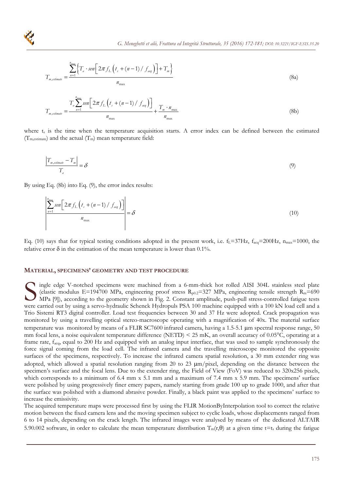$$
T_{m, estimate} = \frac{\sum_{n=1}^{m_{max}} \left\{ T_a \cdot \text{sen}\left[ 2\pi f_L \left( t_s + (n-1) / f_{acq} \right) \right] + T_m \right\}}{n_{max}}
$$
(8a)

$$
T_{m, estimate} = \frac{T_a \sum_{n=1}^{n_{\text{max}}} sen \left[ 2\pi f_L \left( t_s + (n-1) / f_{aq} \right) \right]}{n_{\text{max}}} + \frac{T_m \cdot n_{\text{max}}}{n_{\text{max}}} \tag{8b}
$$

where  $t_s$  is the time when the temperature acquisition starts. A error index can be defined between the estimated  $(T_{\text{m,estimate}})$  and the actual  $(T_{\text{m}})$  mean temperature field:

$$
\frac{\left|T_{m, estimate} - T_m\right|}{T_a} = \delta\tag{9}
$$

By using Eq. (8b) into Eq. (9), the error index results:

$$
\frac{\sum_{n=1}^{n_{\text{max}}} \text{sen}\bigg[2\pi f_L\left(t_s + (n-1)/f_{\text{avg}}\right)\bigg]}{n_{\text{max}}} = \delta \tag{10}
$$

Eq. (10) says that for typical testing conditions adopted in the present work, i.e.  $f_L=37Hz$ ,  $f_{acq}=200Hz$ ,  $n_{max}=1000$ , the relative error  $\delta$  in the estimation of the mean temperature is lower than 0.1%.

#### **MATERIAL, SPECIMENS' GEOMETRY AND TEST PROCEDURE**

ingle edge V-notched specimens were machined from a 6-mm-thick hot rolled AISI 304L stainless steel plate (elastic modulus E=194700 MPa, engineering proof stress  $R_{p0.2}$ =327 MPa, engineering tensile strength  $R_m$ =690 MPa [9]), according to the geometry shown in Fig. 2. Constant amplitude, push-pull stress-controlled fatigue tests mgle edge V-notched specimens were machined from a 6-mm-thick hot rolled AISI 304L stainless steel plate (elastic modulus E=194700 MPa, engineering proof stress  $R_{p0.2}$ =327 MPa, engineering tensile strength  $R_m$ =690 MPa Trio Sistemi RT3 digital controller. Load test frequencies between 30 and 37 Hz were adopted. Crack propagation was monitored by using a travelling optical stereo-macroscope operating with a magnification of 40x. The material surface temperature was monitored by means of a FLIR SC7600 infrared camera, having a 1.5-5.1 µm spectral response range, 50 mm focal lens, a noise equivalent temperature difference (NETD)  $\leq$  25 mK, an overall accuracy of 0.05 $\degree$ C, operating at a frame rate,  $f_{\text{aco}}$ , equal to 200 Hz and equipped with an analog input interface, that was used to sample synchronously the force signal coming from the load cell. The infrared camera and the travelling microscope monitored the opposite surfaces of the specimens, respectively. To increase the infrared camera spatial resolution, a 30 mm extender ring was adopted, which allowed a spatial resolution ranging from 20 to 23  $\mu$ m/pixel, depending on the distance between the specimen's surface and the focal lens. Due to the extender ring, the Field of View (FoV) was reduced to 320x256 pixels, which corresponds to a minimum of 6.4 mm x 5.1 mm and a maximum of 7.4 mm x 5.9 mm. The specimens' surface were polished by using progressively finer emery papers, namely starting from grade 100 up to grade 1000, and after that the surface was polished with a diamond abrasive powder. Finally, a black paint was applied to the specimens' surface to increase the emissivity.

The acquired temperature maps were processed first by using the FLIR MotionByInterpolation tool to correct the relative motion between the fixed camera lens and the moving specimen subject to cyclic loads, whose displacements ranged from 6 to 14 pixels, depending on the crack length. The infrared images were analysed by means of the dedicated ALTAIR 5.90.002 software, in order to calculate the mean temperature distribution  $T_m(r,\theta)$  at a given time t=t<sub>s</sub> during the fatigue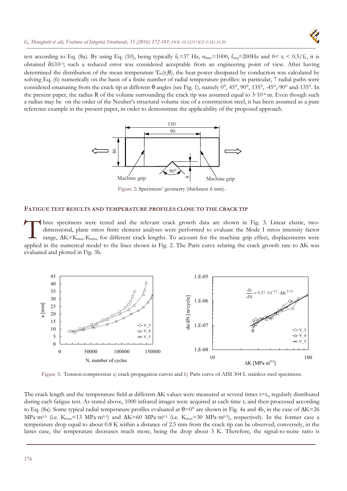

test according to Eq. (8a). By using Eq. (10), being typically f<sub>L</sub>=37 Hz,  $n_{max}=1000$ ,  $f_{acc}=200$ Hz and  $0 < t_s < 0.5/f_L$ , it is obtained  $\delta \leq 10^{-3}$ ; such a reduced error was considered acceptable from an engineering point of view. After having determined the distribution of the mean temperature  $T_m(r, \theta)$ , the heat power dissipated by conduction was calculated by solving Eq. (6) numerically on the basis of a finite number of radial temperature profiles: in particular, 7 radial paths were considered emanating from the crack tip at different  $\theta$  angles (see Fig. 1), namely  $0^\circ$ , 45°,  $90^\circ$ , 135°, -45°,-90° and-135°. In the present paper, the radius R of the volume surrounding the crack tip was assumed equal to  $3.10<sup>4</sup>$  m. Even though such a radius may be on the order of the Neuber's structural volume size of a construction steel, it has been assumed as a pure reference example in the present paper, in order to demonstrate the applicability of the proposed approach.



Figure 2: Specimens' geometry (thickness 6 mm).

## **FATIGUE TEST RESULTS AND TEMPERATURE PROFILES CLOSE TO THE CRACK TIP**

hree specimens were tested and the relevant crack growth data are shown in Fig. 3. Linear elastic, twodimensional, plane stress finite element analyses were performed to evaluate the Mode I stress intensity factor range,  $\Delta K = K_{max} - K_{min}$ , for different crack lengths. To account for the machine grip effect, displacements were applied in the numerical model to the lines shown in Fig. 2. The Paris curve relating the crack growth rate to  $\Delta K$  was evaluated and plotted in Fig. 3b.  $\prod_{\text{rad}}^{\text{hr}}$ 



Figure 3: Tension-compression a) crack propagation curves and b) Paris curve of AISI 304 L stainless steel specimens.

The crack length and the temperature field at different  $\Delta K$  values were measured at several times t=t<sub>s</sub>, regularly distributed during each fatigue test. As stated above, 1000 infrared images were acquired at each time ts and then processed according to Eq. (8a). Some typical radial temperature profiles evaluated at  $\theta=0^{\circ}$  are shown in Fig. 4a and 4b, in the case of  $\Delta K=26$ MPa·m<sup>0.5</sup> (i.e. K<sub>max</sub>=13 MPa·m<sup>0.5</sup>) and  $\Delta K$ =60 MPa·m<sup>0.5</sup> (i.e. K<sub>max</sub>=30 MPa·m<sup>0.5</sup>), respectively. In the former case a temperature drop equal to about 0.8 K within a distance of 2.5 mm from the crack tip can be observed; conversely, in the latter case, the temperature decreases much more, being the drop about 3 K. Therefore, the signal-to-noise ratio is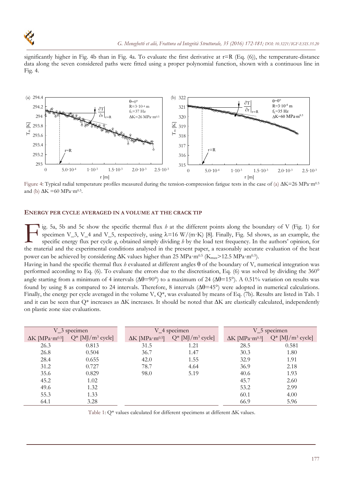

significantly higher in Fig. 4b than in Fig. 4a. To evaluate the first derivative at  $r=R$  (Eq. (6)), the temperature-distance data along the seven considered paths were fitted using a proper polynomial function, shown with a continuous line in Fig. 4.



Figure 4: Typical radial temperature profiles measured during the tension-compression fatigue tests in the case of (a)  $\Delta K = 26 MPa \cdot m^{0.5}$ and (b)  $\Delta K = 60 \text{ MPa} \cdot \text{m}^{0.5}$ .

#### **ENERGY PER CYCLE AVERAGED IN A VOLUME AT THE CRACK TIP**

ig. 5a, 5b and 5c show the specific thermal flux *h* at the different points along the boundary of V (Fig. 1) for specimen V\_3, V\_4 and V\_5, respectively, using  $\lambda$ =16 W/(m·K) [8]. Finally, Fig. 5d shows, as an example, the specific energy flux per cycle *q*, obtained simply dividing *h* by the load test frequency. In the authors' opinion, for Tig. 5a, 5b and 5c show the specific thermal flux  $h$  at the different points along the boundary of V (Fig. 1) for specific energy flux per cycle  $q$ , obtained simply dividing  $h$  by the load test frequency. In the author power can be achieved by considering  $\Delta K$  values higher than 25 MPa·m<sup>0.5</sup> (K<sub>max</sub>>12.5 MPa·m<sup>0.5</sup>).

Having in hand the specific thermal flux *h* evaluated at different angles  $\theta$  of the boundary of V, numerical integration was performed according to Eq. (6). To evaluate the errors due to the discretisation, Eq. (6) was solved by dividing the 360° angle starting from a minimum of 4 intervals ( $\Delta\theta$ =90°) to a maximum of 24 ( $\Delta\theta$ =15°). A 0.51% variation on results was found by using 8 as compared to 24 intervals. Therefore, 8 intervals  $(\Delta\theta = 45^{\circ})$  were adopted in numerical calculations. Finally, the energy per cycle averaged in the volume V, Q\*, was evaluated by means of Eq. (7b). Results are listed in Tab. 1 and it can be seen that  $Q^*$  increases as  $\Delta K$  increases. It should be noted that  $\Delta K$  are elastically calculated, independently on plastic zone size evaluations.

| V_3 specimen                       |                                 | V_4 specimen                       |                                 | V <sub>-5</sub> specimen           |                                 |
|------------------------------------|---------------------------------|------------------------------------|---------------------------------|------------------------------------|---------------------------------|
| $\Delta K$ [MPa·m <sup>0.5</sup> ] | $Q^*$ [MJ/m <sup>3</sup> cycle] | $\Delta K$ [MPa·m <sup>0.5</sup> ] | $Q^*$ [MJ/m <sup>3</sup> cycle] | $\Delta K$ [MPa·m <sup>0.5</sup> ] | $Q^*$ [MJ/m <sup>3</sup> cycle] |
| 26.3                               | 0.813                           | 31.5                               | 1.21                            | 28.5                               | 0.581                           |
| 26.8                               | 0.504                           | 36.7                               | 1.47                            | 30.3                               | 1.80                            |
| 28.4                               | 0.655                           | 42.0                               | 1.55                            | 32.9                               | 1.91                            |
| 31.2                               | 0.727                           | 78.7                               | 4.64                            | 36.9                               | 2.18                            |
| 35.6                               | 0.829                           | 98.0                               | 5.19                            | 40.6                               | 1.93                            |
| 45.2                               | 1.02                            |                                    |                                 | 45.7                               | 2.60                            |
| 49.6                               | 1.32                            |                                    |                                 | 53.2                               | 2.99                            |
| 55.3                               | 1.33                            |                                    |                                 | 60.1                               | 4.00                            |
| 64.1                               | 3.28                            |                                    |                                 | 66.9                               | 5.96                            |

Table 1:  $Q^*$  values calculated for different specimens at different  $\Delta K$  values.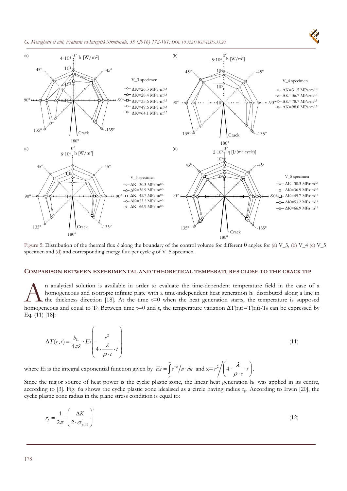#### *G. Meneghetti et alii, Frattura ed Integrità Strutturale, 35 (2016) 172-181; DOI: 10.3221/IGF-ESIS.35.20*



Figure 5: Distribution of the thermal flux *h* along the boundary of the control volume for different  $\theta$  angles for (a) V\_3, (b) V\_4 (c) V\_5 specimen and (d) and corresponding energy flux per cycle *q* of V\_5 specimen.

#### **COMPARISON BETWEEN EXPERIMENTAL AND THEORETICAL TEMPERATURES CLOSE TO THE CRACK TIP**

n analytical solution is available in order to evaluate the time-dependent temperature field in the case of a homogeneous and isotropic infinite plate with a time-independent heat generation  $h<sub>L</sub>$  distributed along a line in the thickness direction [18]. At the time  $t=0$  when the heat generation starts, the temperature is supposed homogeneous and isotropic infinite plate with a time-independent temperature field in the case of a homogeneous and isotropic infinite plate with a time-independent heat generation  $h_L$  distributed along a line in the thi Eq. (11) [18]:

$$
\Delta T(r,t) = \frac{b_L}{4\pi\lambda} \cdot E_i \left( \frac{r^2}{4 \cdot \frac{\lambda}{\rho \cdot c} \cdot t} \right)
$$
\n(11)

where Ei is the integral exponential function given by  $E_i = \int e^{-\lambda}$ *x*  $E_i = \int e^{-u} \, du \cdot du$  $=\int_{x}^{\infty} e^{-u}/u \cdot du$  and  $x=r^2/(4 \cdot \frac{\lambda}{\rho \cdot c} \cdot u)$  $\left(4 \cdot \frac{\lambda}{\rho \cdot c} \cdot t\right).$ 

Since the major source of heat power is the cyclic plastic zone, the linear heat generation h<sub>L</sub> was applied in its centre, according to [3]. Fig. 6a shows the cyclic plastic zone idealised as a circle having radius  $r_p$ . According to Irwin [20], the cyclic plastic zone radius in the plane stress condition is equal to:

$$
r_{p} = \frac{1}{2\pi} \cdot \left(\frac{\Delta K}{2 \cdot \sigma_{p,02}^{2}}\right)^{2}
$$
 (12)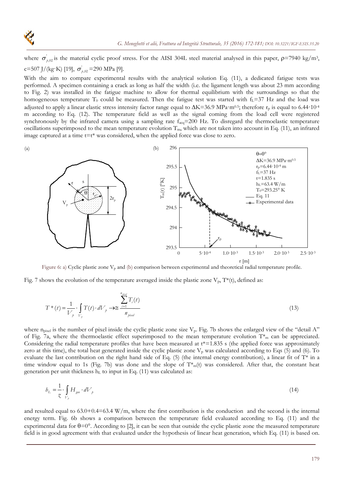

(a)

where  $\sigma'_{h,02}$  is the material cyclic proof stress. For the AISI 304L steel material analysed in this paper,  $\rho$ =7940 kg/m<sup>3</sup>, c=507 J/(kg·K) [19],  $\sigma_{p,02}$  =290 MPa [9].

With the aim to compare experimental results with the analytical solution Eq. (11), a dedicated fatigue tests was performed. A specimen containing a crack as long as half the width (i.e. the ligament length was about 23 mm according to Fig. 2) was installed in the fatigue machine to allow for thermal equilibrium with the surroundings so that the homogeneous temperature T<sub>0</sub> could be measured. Then the fatigue test was started with  $f_L$ =37 Hz and the load was adjusted to apply a linear elastic stress intensity factor range equal to  $\Delta K = 36.9 \text{ MPa} \cdot \text{m}^{0.5}$ ; therefore  $r_p$  is equal to 6.44·10<sup>-4</sup> m according to Eq. (12). The temperature field as well as the signal coming from the load cell were registered synchronously by the infrared camera using a sampling rate  $f_{acq}$ =200 Hz. To disregard the thermoelastic temperature oscillations superimposed to the mean temperature evolution  $T_m$ , which are not taken into account in Eq. (11), an infrared image captured at a time  $t=t^*$  was considered, when the applied force was close to zero.



Figure 6: a) Cyclic plastic zone V<sub>p</sub> and (b) comparison between experimental and theoretical radial temperature profile.

Fig. 7 shows the evolution of the temperature averaged inside the plastic zone  $V_p$ ,  $T^*(t)$ , defined as:

$$
T^*(t) = \frac{1}{V_p} \cdot \int_{V_p} T(t) \cdot dV_p \rightarrow \cong \frac{\sum_{i=1}^{n_{pixel}} T_i(t)}{n_{pixel}}
$$
\n(13)

where  $n<sub>pixel</sub>$  is the number of pixel inside the cyclic plastic zone size  $V<sub>p</sub>$ . Fig. 7b shows the enlarged view of the "detail A" of Fig. 7a, where the thermoelastic effect superimposed to the mean temperature evolution  $T^*$  can be appreciated. Considering the radial temperature profiles that have been measured at  $t^*=1.835$  s (the applied force was approximately zero at this time), the total heat generated inside the cyclic plastic zone  $V_p$  was calculated according to Eqs (5) and (6). To evaluate the last contribution on the right hand side of Eq.  $(5)$  (the internal energy contribution), a linear fit of T\* in a time window equal to 1s (Fig. 7b) was done and the slope of  $T^*_{m}(t)$  was considered. After that, the constant heat generation per unit thickness  $h<sub>L</sub>$  to input in Eq. (11) was calculated as:

$$
b_L = \frac{1}{\tilde{\chi}} \cdot \int\limits_{V_p} H_{gen} \cdot dV_p \tag{14}
$$

and resulted equal to  $63.0+0.4=63.4$  W/m, where the first contribution is the conduction and the second is the internal energy term. Fig. 6b shows a comparison between the temperature field evaluated according to Eq. (11) and the experimental data for  $\theta=0^{\circ}$ . According to [2], it can be seen that outside the cyclic plastic zone the measured temperature field is in good agreement with that evaluated under the hypothesis of linear heat generation, which Eq. (11) is based on.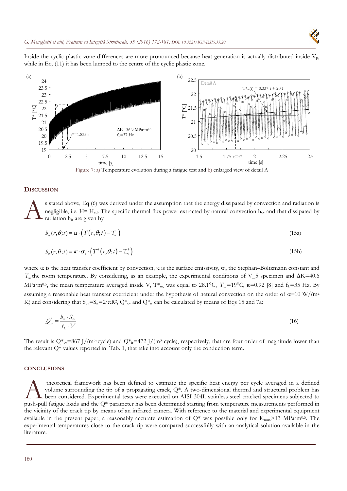Inside the cyclic plastic zone differences are more pronounced because heat generation is actually distributed inside  $V_p$ , while in Eq. (11) it has been lumped to the centre of the cyclic plastic zone.



Figure 7: a) Temperature evolution during a fatigue test and b) enlarged view of detail A

#### **DISCUSSION**

s stated above, Eq (6) was derived under the assumption that the energy dissipated by convection and radiation is negligible, i.e.  $H \cong H_{cd}$ . The specific thermal flux power extracted by natural convection  $h_{cv}$  and that dissipated by radiation hir are given by  $\mathbf{A}$ <sup>s s</sup><br>rad

$$
b_{\alpha}(r,\theta;t) = \alpha \cdot \left( T(r,\theta;t) - T_{\infty} \right) \tag{15a}
$$

$$
b_{ir}(r,\theta;t) = \kappa \cdot \sigma_{ir} \cdot \left( T^4(r,\theta;t) - T^4_{\infty} \right)
$$
\n(15b)

where  $\alpha$  is the heat transfer coefficient by convection,  $\kappa$  is the surface emissivity,  $\sigma_n$  the Stephan–Boltzmann constant and  $T<sub>\alpha</sub>$  the room temperature. By considering, as an example, the experimental conditions of V\_5 specimen and  $\Delta$ K=40.6 MPa·m<sup>0.5</sup>, the mean temperature averaged inside V, T<sup>\*</sup><sub>m</sub>, was equal to 28.1°C,  $T_{\infty}$ =19°C,  $\kappa$ =0.92 [8] and f<sub>L</sub>=35 Hz. By assuming a reasonable heat transfer coefficient under the hypothesis of natural convection on the order of  $\alpha$ =10 W/(m<sup>2</sup> K) and considering that  $S_{cv} = S_{ir} = 2 \cdot \pi R^2$ ,  $Q_{cv}^*$  and  $Q_{ir}^*$  can be calculated by means of Eqs 15 and 7a:

$$
\mathcal{Q}_{\alpha}^* = \frac{b_{\alpha} \cdot S_{\alpha}}{f_L \cdot V} \tag{16}
$$

The result is Q\*<sub>cv</sub>=867 J/(m<sup>3</sup>·cycle) and Q\*<sub>ir</sub>=472 J/(m<sup>3</sup>·cycle), respectively, that are four order of magnitude lower than the relevant Q\* values reported in Tab. 1, that take into account only the conduction term.

#### **CONCLUSIONS**

 theoretical framework has been defined to estimate the specific heat energy per cycle averaged in a defined volume surrounding the tip of a propagating crack, Q\*. A two-dimensional thermal and structural problem has been considered. Experimental tests were executed on AISI 304L stainless steel cracked specimens subjected to theoretical framework has been defined to estimate the specific heat energy per cycle averaged in a defined volume surrounding the tip of a propagating crack, Q\*. A two-dimensional thermal and structural problem has been c the vicinity of the crack tip by means of an infrared camera. With reference to the material and experimental equipment available in the present paper, a reasonably accurate estimation of  $Q^*$  was possible only for  $K_{\text{max}} > 13 \text{ MPa} \cdot \text{m}^{0.5}$ . The experimental temperatures close to the crack tip were compared successfully with an analytical solution available in the literature.